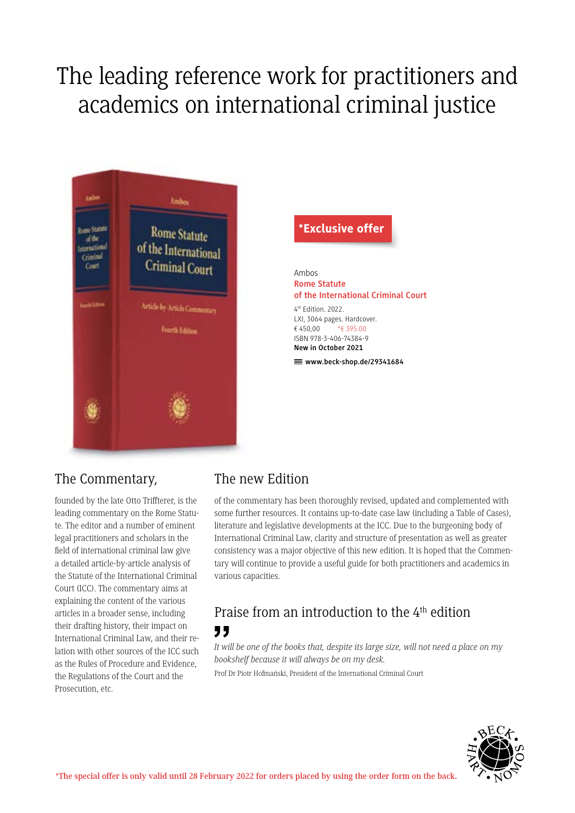# The leading reference work for practitioners and academics on international criminal justice



#### \*Exclusive offer

Ambos **Rome Statute of the International Criminal Court**

4th Edition. 2022. LXI, 3064 pages. Hardcover. € 450,00 \*€ 395.00 ISBN 978-3-406-74384-9 **New in October 2021**

 $\equiv$  www.beck-shop.de/29341684

## The Commentary,

founded by the late Otto Triffterer, is the leading commentary on the Rome Statute. The editor and a number of eminent legal practitioners and scholars in the field of international criminal law give a detailed article-by-article analysis of the Statute of the International Criminal Court (ICC). The commentary aims at explaining the content of the various articles in a broader sense, including their drafting history, their impact on International Criminal Law, and their relation with other sources of the ICC such as the Rules of Procedure and Evidence, the Regulations of the Court and the Prosecution, etc.

### The new Edition

of the commentary has been thoroughly revised, updated and complemented with some further resources. It contains up-to-date case law (including a Table of Cases), literature and legislative developments at the ICC. Due to the burgeoning body of International Criminal Law, clarity and structure of presentation as well as greater consistency was a major objective of this new edition. It is hoped that the Commentary will continue to provide a useful guide for both practitioners and academics in various capacities.

## Praise from an introduction to the 4<sup>th</sup> edition "

*It will be one of the books that, despite its large size, will not need a place on my bookshelf because it will always be on my desk.*

Prof Dr Piotr Hofmański, President of the International Criminal Court